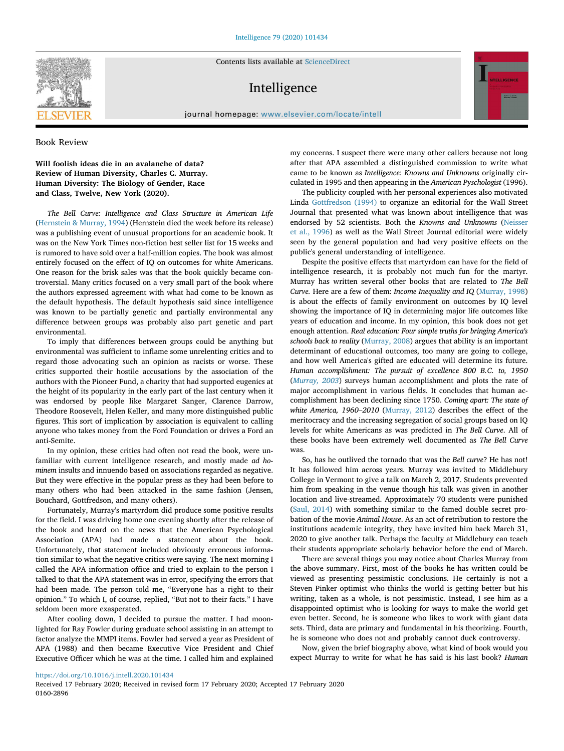Contents lists available at ScienceDirect

# Intelligence

journal homepage: www.elsevier.com/locate/intell

Book Review

Will foolish ideas die in an avalanche of data? Review of Human Diversity, Charles C. Murray. Human Diversity: The Biology of Gender, Race and Class, Twelve, New York (2020).

*The Bell Curve: Intelligence and Class Structure in American Life* (Hernstein & Murray, 1994) (Hernstein died the week before its release) was a publishing event of unusual proportions for an academic book. It was on the New York Times non-fiction best seller list for 15 weeks and is rumored to have sold over a half-million copies. The book was almost entirely focused on the effect of IQ on outcomes for white Americans. One reason for the brisk sales was that the book quickly became controversial. Many critics focused on a very small part of the book where the authors expressed agreement with what had come to be known as the default hypothesis. The default hypothesis said since intelligence was known to be partially genetic and partially environmental any difference between groups was probably also part genetic and part environmental.

To imply that differences between groups could be anything but environmental was sufficient to inflame some unrelenting critics and to regard those advocating such an opinion as racists or worse. These critics supported their hostile accusations by the association of the authors with the Pioneer Fund, a charity that had supported eugenics at the height of its popularity in the early part of the last century when it was endorsed by people like Margaret Sanger, Clarence Darrow, Theodore Roosevelt, Helen Keller, and many more distinguished public figures. This sort of implication by association is equivalent to calling anyone who takes money from the Ford Foundation or drives a Ford an anti-Semite.

In my opinion, these critics had often not read the book, were unfamiliar with current intelligence research, and mostly made *ad hominem* insults and innuendo based on associations regarded as negative. But they were effective in the popular press as they had been before to many others who had been attacked in the same fashion (Jensen, Bouchard, Gottfredson, and many others).

Fortunately, Murray's martyrdom did produce some positive results for the field. I was driving home one evening shortly after the release of the book and heard on the news that the American Psychological Association (APA) had made a statement about the book. Unfortunately, that statement included obviously erroneous information similar to what the negative critics were saying. The next morning I called the APA information office and tried to explain to the person I talked to that the APA statement was in error, specifying the errors that had been made. The person told me, "Everyone has a right to their opinion." To which I, of course, replied, "But not to their facts." I have seldom been more exasperated.

After cooling down, I decided to pursue the matter. I had moonlighted for Ray Fowler during graduate school assisting in an attempt to factor analyze the MMPI items. Fowler had served a year as President of APA (1988) and then became Executive Vice President and Chief Executive Officer which he was at the time. I called him and explained

my concerns. I suspect there were many other callers because not long after that APA assembled a distinguished commission to write what came to be known as *Intelligence: Knowns and Unknowns* originally circulated in 1995 and then appearing in the *American Pyschologist* (1996).

The publicity coupled with her personal experiences also motivated Linda Gottfredson (1994) to organize an editorial for the Wall Street Journal that presented what was known about intelligence that was endorsed by 52 scientists. Both the *Knowns and Unknowns* (Neisser et al., 1996) as well as the Wall Street Journal editorial were widely seen by the general population and had very positive effects on the public's general understanding of intelligence.

Despite the positive effects that martyrdom can have for the field of intelligence research, it is probably not much fun for the martyr. Murray has written several other books that are related to *The Bell Curve.* Here are a few of them: *Income Inequality and IQ* (Murray, 1998) is about the effects of family environment on outcomes by IQ level showing the importance of IQ in determining major life outcomes like years of education and income. In my opinion, this book does not get enough attention. *Real education: Four simple truths for bringing America's schools back to reality* (Murray, 2008) argues that ability is an important determinant of educational outcomes, too many are going to college, and how well America's gifted are educated will determine its future. *Human accomplishment: The pursuit of excellence 800 B.C. to, 1950* (*Murray, 2003*) surveys human accomplishment and plots the rate of major accomplishment in various fields. It concludes that human accomplishment has been declining since 1750. *Coming apart: The state of white America, 1960*–*2010* (Murray, 2012) describes the effect of the meritocracy and the increasing segregation of social groups based on IQ levels for white Americans as was predicted in *The Bell Curve*. All of these books have been extremely well documented as *The Bell Curve* was.

So, has he outlived the tornado that was the *Bell curve*? He has not! It has followed him across years. Murray was invited to Middlebury College in Vermont to give a talk on March 2, 2017. Students prevented him from speaking in the venue though his talk was given in another location and live-streamed. Approximately 70 students were punished (Saul, 2014) with something similar to the famed double secret probation of the movie *Animal House*. As an act of retribution to restore the institutions academic integrity, they have invited him back March 31, 2020 to give another talk. Perhaps the faculty at Middlebury can teach their students appropriate scholarly behavior before the end of March.

There are several things you may notice about Charles Murray from the above summary. First, most of the books he has written could be viewed as presenting pessimistic conclusions. He certainly is not a Steven Pinker optimist who thinks the world is getting better but his writing, taken as a whole, is not pessimistic. Instead, I see him as a disappointed optimist who is looking for ways to make the world get even better. Second, he is someone who likes to work with giant data sets. Third, data are primary and fundamental in his theorizing. Fourth, he is someone who does not and probably cannot duck controversy.

Now, given the brief biography above, what kind of book would you expect Murray to write for what he has said is his last book? *Human*

https://doi.org/10.1016/j.intell.2020.101434

Received 17 February 2020; Received in revised form 17 February 2020; Accepted 17 February 2020 0160-2896

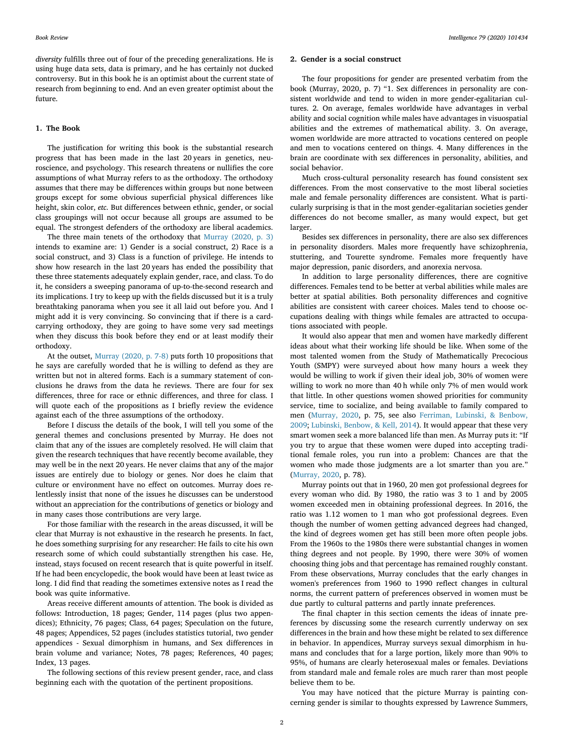*diversity* fulfills three out of four of the preceding generalizations. He is using huge data sets, data is primary, and he has certainly not ducked controversy. But in this book he is an optimist about the current state of research from beginning to end. And an even greater optimist about the future.

## 1. The Book

The justification for writing this book is the substantial research progress that has been made in the last 20 years in genetics, neuroscience, and psychology. This research threatens or nullifies the core assumptions of what Murray refers to as the orthodoxy. The orthodoxy assumes that there may be differences within groups but none between groups except for some obvious superficial physical differences like height, skin color, *etc.* But differences between ethnic, gender, or social class groupings will not occur because all groups are assumed to be equal. The strongest defenders of the orthodoxy are liberal academics.

The three main tenets of the orthodoxy that Murray (2020, p. 3) intends to examine are: 1) Gender is a social construct, 2) Race is a social construct, and 3) Class is a function of privilege. He intends to show how research in the last 20 years has ended the possibility that these three statements adequately explain gender, race, and class. To do it, he considers a sweeping panorama of up-to-the-second research and its implications. I try to keep up with the fields discussed but it is a truly breathtaking panorama when you see it all laid out before you. And I might add it is very convincing. So convincing that if there is a cardcarrying orthodoxy, they are going to have some very sad meetings when they discuss this book before they end or at least modify their orthodoxy.

At the outset, Murray (2020, p. 7-8) puts forth 10 propositions that he says are carefully worded that he is willing to defend as they are written but not in altered forms. Each is a summary statement of conclusions he draws from the data he reviews. There are four for sex differences, three for race or ethnic differences, and three for class. I will quote each of the propositions as I briefly review the evidence against each of the three assumptions of the orthodoxy.

Before I discuss the details of the book, I will tell you some of the general themes and conclusions presented by Murray. He does not claim that any of the issues are completely resolved. He will claim that given the research techniques that have recently become available, they may well be in the next 20 years. He never claims that any of the major issues are entirely due to biology or genes. Nor does he claim that culture or environment have no effect on outcomes. Murray does relentlessly insist that none of the issues he discusses can be understood without an appreciation for the contributions of genetics or biology and in many cases those contributions are very large.

For those familiar with the research in the areas discussed, it will be clear that Murray is not exhaustive in the research he presents. In fact, he does something surprising for any researcher: He fails to cite his own research some of which could substantially strengthen his case. He, instead, stays focused on recent research that is quite powerful in itself. If he had been encyclopedic, the book would have been at least twice as long. I did find that reading the sometimes extensive notes as I read the book was quite informative.

Areas receive different amounts of attention. The book is divided as follows: Introduction, 18 pages; Gender, 114 pages (plus two appendices); Ethnicity, 76 pages; Class, 64 pages; Speculation on the future, 48 pages; Appendices, 52 pages (includes statistics tutorial, two gender appendices - Sexual dimorphism in humans, and Sex differences in brain volume and variance; Notes, 78 pages; References, 40 pages; Index, 13 pages.

The following sections of this review present gender, race, and class beginning each with the quotation of the pertinent propositions.

### 2. Gender is a social construct

The four propositions for gender are presented verbatim from the book (Murray, 2020, p. 7) "1. Sex differences in personality are consistent worldwide and tend to widen in more gender-egalitarian cultures. 2. On average, females worldwide have advantages in verbal ability and social cognition while males have advantages in visuospatial abilities and the extremes of mathematical ability. 3. On average, women worldwide are more attracted to vocations centered on people and men to vocations centered on things. 4. Many differences in the brain are coordinate with sex differences in personality, abilities, and social behavior.

Much cross-cultural personality research has found consistent sex differences. From the most conservative to the most liberal societies male and female personality differences are consistent. What is particularly surprising is that in the most gender-egalitarian societies gender differences do not become smaller, as many would expect, but get larger.

Besides sex differences in personality, there are also sex differences in personality disorders. Males more frequently have schizophrenia, stuttering, and Tourette syndrome. Females more frequently have major depression, panic disorders, and anorexia nervosa.

In addition to large personality differences, there are cognitive differences. Females tend to be better at verbal abilities while males are better at spatial abilities. Both personality differences and cognitive abilities are consistent with career choices. Males tend to choose occupations dealing with things while females are attracted to occupations associated with people.

It would also appear that men and women have markedly different ideas about what their working life should be like. When some of the most talented women from the Study of Mathematically Precocious Youth (SMPY) were surveyed about how many hours a week they would be willing to work if given their ideal job, 30% of women were willing to work no more than 40 h while only 7% of men would work that little. In other questions women showed priorities for community service, time to socialize, and being available to family compared to men (Murray, 2020, p. 75, see also Ferriman, Lubinski, & Benbow, 2009; Lubinski, Benbow, & Kell, 2014). It would appear that these very smart women seek a more balanced life than men. As Murray puts it: "If you try to argue that these women were duped into accepting traditional female roles, you run into a problem: Chances are that the women who made those judgments are a lot smarter than you are." (Murray, 2020, p. 78).

Murray points out that in 1960, 20 men got professional degrees for every woman who did. By 1980, the ratio was 3 to 1 and by 2005 women exceeded men in obtaining professional degrees. In 2016, the ratio was 1.12 women to 1 man who got professional degrees. Even though the number of women getting advanced degrees had changed, the kind of degrees women get has still been more often people jobs. From the 1960s to the 1980s there were substantial changes in women thing degrees and not people. By 1990, there were 30% of women choosing thing jobs and that percentage has remained roughly constant. From these observations, Murray concludes that the early changes in women's preferences from 1960 to 1990 reflect changes in cultural norms, the current pattern of preferences observed in women must be due partly to cultural patterns and partly innate preferences.

The final chapter in this section cements the ideas of innate preferences by discussing some the research currently underway on sex differences in the brain and how these might be related to sex difference in behavior. In appendices, Murray surveys sexual dimorphism in humans and concludes that for a large portion, likely more than 90% to 95%, of humans are clearly heterosexual males or females. Deviations from standard male and female roles are much rarer than most people believe them to be.

You may have noticed that the picture Murray is painting concerning gender is similar to thoughts expressed by Lawrence Summers,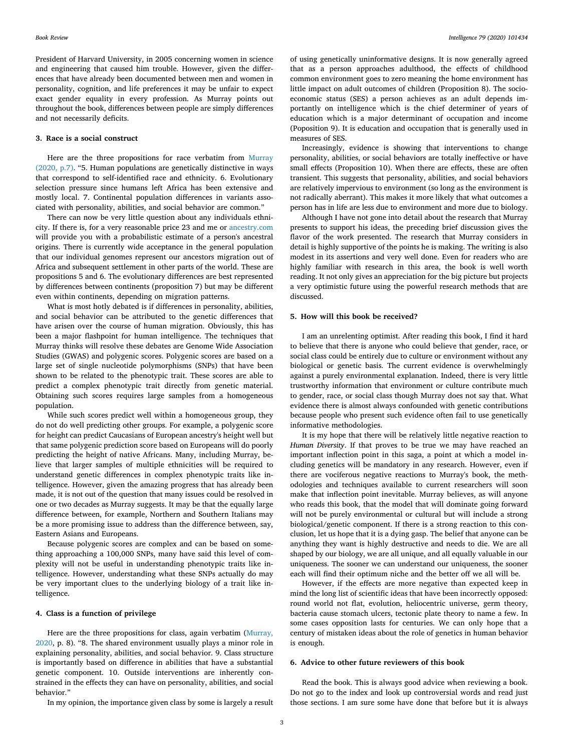President of Harvard University, in 2005 concerning women in science and engineering that caused him trouble. However, given the differences that have already been documented between men and women in personality, cognition, and life preferences it may be unfair to expect exact gender equality in every profession. As Murray points out throughout the book, differences between people are simply differences and not necessarily deficits.

## 3. Race is a social construct

Here are the three propositions for race verbatim from Murray (2020, p.7). "5. Human populations are genetically distinctive in ways that correspond to self-identified race and ethnicity. 6. Evolutionary selection pressure since humans left Africa has been extensive and mostly local. 7. Continental population differences in variants associated with personality, abilities, and social behavior are common."

There can now be very little question about any individuals ethnicity. If there is, for a very reasonable price 23 and me or ancestry.com will provide you with a probabilistic estimate of a person's ancestral origins. There is currently wide acceptance in the general population that our individual genomes represent our ancestors migration out of Africa and subsequent settlement in other parts of the world. These are propositions 5 and 6. The evolutionary differences are best represented by differences between continents (proposition 7) but may be different even within continents, depending on migration patterns.

What is most hotly debated is if differences in personality, abilities, and social behavior can be attributed to the genetic differences that have arisen over the course of human migration. Obviously, this has been a major flashpoint for human intelligence. The techniques that Murray thinks will resolve these debates are Genome Wide Association Studies (GWAS) and polygenic scores. Polygenic scores are based on a large set of single nucleotide polymorphisms (SNPs) that have been shown to be related to the phenotypic trait. These scores are able to predict a complex phenotypic trait directly from genetic material. Obtaining such scores requires large samples from a homogeneous population.

While such scores predict well within a homogeneous group, they do not do well predicting other groups. For example, a polygenic score for height can predict Caucasians of European ancestry's height well but that same polygenic prediction score based on Europeans will do poorly predicting the height of native Africans. Many, including Murray, believe that larger samples of multiple ethnicities will be required to understand genetic differences in complex phenotypic traits like intelligence. However, given the amazing progress that has already been made, it is not out of the question that many issues could be resolved in one or two decades as Murray suggests. It may be that the equally large difference between, for example, Northern and Southern Italians may be a more promising issue to address than the difference between, say, Eastern Asians and Europeans.

Because polygenic scores are complex and can be based on something approaching a 100,000 SNPs, many have said this level of complexity will not be useful in understanding phenotypic traits like intelligence. However, understanding what these SNPs actually do may be very important clues to the underlying biology of a trait like intelligence.

# 4. Class is a function of privilege

Here are the three propositions for class, again verbatim (Murray, 2020, p. 8). "8. The shared environment usually plays a minor role in explaining personality, abilities, and social behavior. 9. Class structure is importantly based on difference in abilities that have a substantial genetic component. 10. Outside interventions are inherently constrained in the effects they can have on personality, abilities, and social behavior."

In my opinion, the importance given class by some is largely a result

of using genetically uninformative designs. It is now generally agreed that as a person approaches adulthood, the effects of childhood common environment goes to zero meaning the home environment has little impact on adult outcomes of children (Proposition 8). The socioeconomic status (SES) a person achieves as an adult depends importantly on intelligence which is the chief determiner of years of education which is a major determinant of occupation and income (Poposition 9). It is education and occupation that is generally used in measures of SES.

Increasingly, evidence is showing that interventions to change personality, abilities, or social behaviors are totally ineffective or have small effects (Proposition 10). When there are effects, these are often transient. This suggests that personality, abilities, and social behaviors are relatively impervious to environment (so long as the environment is not radically aberrant). This makes it more likely that what outcomes a person has in life are less due to environment and more due to biology.

Although I have not gone into detail about the research that Murray presents to support his ideas, the preceding brief discussion gives the flavor of the work presented. The research that Murray considers in detail is highly supportive of the points he is making. The writing is also modest in its assertions and very well done. Even for readers who are highly familiar with research in this area, the book is well worth reading. It not only gives an appreciation for the big picture but projects a very optimistic future using the powerful research methods that are discussed.

## 5. How will this book be received?

I am an unrelenting optimist. After reading this book, I find it hard to believe that there is anyone who could believe that gender, race, or social class could be entirely due to culture or environment without any biological or genetic basis. The current evidence is overwhelmingly against a purely environmental explanation. Indeed, there is very little trustworthy information that environment or culture contribute much to gender, race, or social class though Murray does not say that. What evidence there is almost always confounded with genetic contributions because people who present such evidence often fail to use genetically informative methodologies.

It is my hope that there will be relatively little negative reaction to *Human Diversity*. If that proves to be true we may have reached an important inflection point in this saga, a point at which a model including genetics will be mandatory in any research. However, even if there are vociferous negative reactions to Murray's book, the methodologies and techniques available to current researchers will soon make that inflection point inevitable. Murray believes, as will anyone who reads this book, that the model that will dominate going forward will not be purely environmental or cultural but will include a strong biological/genetic component. If there is a strong reaction to this conclusion, let us hope that it is a dying gasp. The belief that anyone can be anything they want is highly destructive and needs to die. We are all shaped by our biology, we are all unique, and all equally valuable in our uniqueness. The sooner we can understand our uniqueness, the sooner each will find their optimum niche and the better off we all will be.

However, if the effects are more negative than expected keep in mind the long list of scientific ideas that have been incorrectly opposed: round world not flat, evolution, heliocentric universe, germ theory, bacteria cause stomach ulcers, tectonic plate theory to name a few. In some cases opposition lasts for centuries. We can only hope that a century of mistaken ideas about the role of genetics in human behavior is enough.

#### 6. Advice to other future reviewers of this book

Read the book. This is always good advice when reviewing a book. Do not go to the index and look up controversial words and read just those sections. I am sure some have done that before but it is always